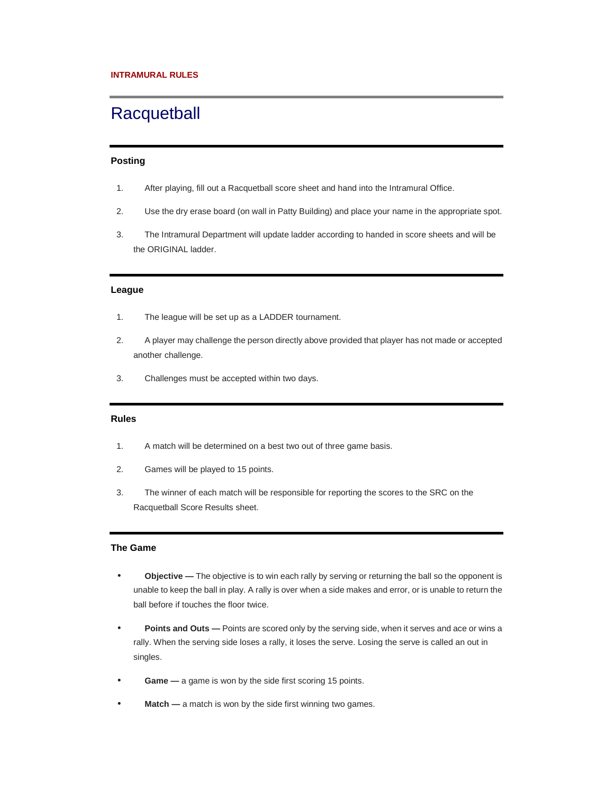# **Racquetball**

# **Posting**

- 1. After playing, fill out a Racquetball score sheet and hand into the Intramural Office.
- 2. Use the dry erase board (on wall in Patty Building) and place your name in the appropriate spot.
- 3. The Intramural Department will update ladder according to handed in score sheets and will be the ORIGINAL ladder.

## **League**

- 1. The league will be set up as a LADDER tournament.
- 2. A player may challenge the person directly above provided that player has not made or accepted another challenge.
- 3. Challenges must be accepted within two days.

# **Rules**

- 1. A match will be determined on a best two out of three game basis.
- 2. Games will be played to 15 points.
- 3. The winner of each match will be responsible for reporting the scores to the SRC on the Racquetball Score Results sheet.

# **The Game**

- **Objective —** The objective is to win each rally by serving or returning the ball so the opponent is unable to keep the ball in play. A rally is over when a side makes and error, or is unable to return the ball before if touches the floor twice.
- **Points and Outs —** Points are scored only by the serving side, when it serves and ace or wins a rally. When the serving side loses a rally, it loses the serve. Losing the serve is called an out in singles.
- **Game** a game is won by the side first scoring 15 points.
- **Match** a match is won by the side first winning two games.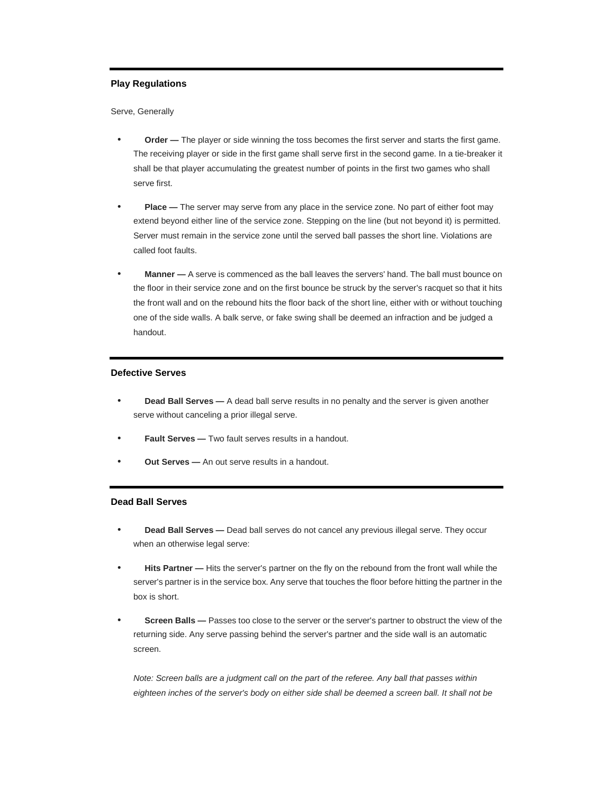# **Play Regulations**

Serve, Generally

- **Order —** The player or side winning the toss becomes the first server and starts the first game. The receiving player or side in the first game shall serve first in the second game. In a tie-breaker it shall be that player accumulating the greatest number of points in the first two games who shall serve first.
- **Place —** The server may serve from any place in the service zone. No part of either foot may extend beyond either line of the service zone. Stepping on the line (but not beyond it) is permitted. Server must remain in the service zone until the served ball passes the short line. Violations are called foot faults.
- **Manner —** A serve is commenced as the ball leaves the servers' hand. The ball must bounce on the floor in their service zone and on the first bounce be struck by the server's racquet so that it hits the front wall and on the rebound hits the floor back of the short line, either with or without touching one of the side walls. A balk serve, or fake swing shall be deemed an infraction and be judged a handout.

#### **Defective Serves**

- **Dead Ball Serves —** A dead ball serve results in no penalty and the server is given another serve without canceling a prior illegal serve.
- **Fault Serves —** Two fault serves results in a handout.
- **Out Serves —** An out serve results in a handout.

# **Dead Ball Serves**

- **Dead Ball Serves —** Dead ball serves do not cancel any previous illegal serve. They occur when an otherwise legal serve:
- **Hits Partner —** Hits the server's partner on the fly on the rebound from the front wall while the server's partner is in the service box. Any serve that touches the floor before hitting the partner in the box is short.
- **Screen Balls —** Passes too close to the server or the server's partner to obstruct the view of the returning side. Any serve passing behind the server's partner and the side wall is an automatic screen.

Note: Screen balls are a judgment call on the part of the referee. Any ball that passes within eighteen inches of the server's body on either side shall be deemed a screen ball. It shall not be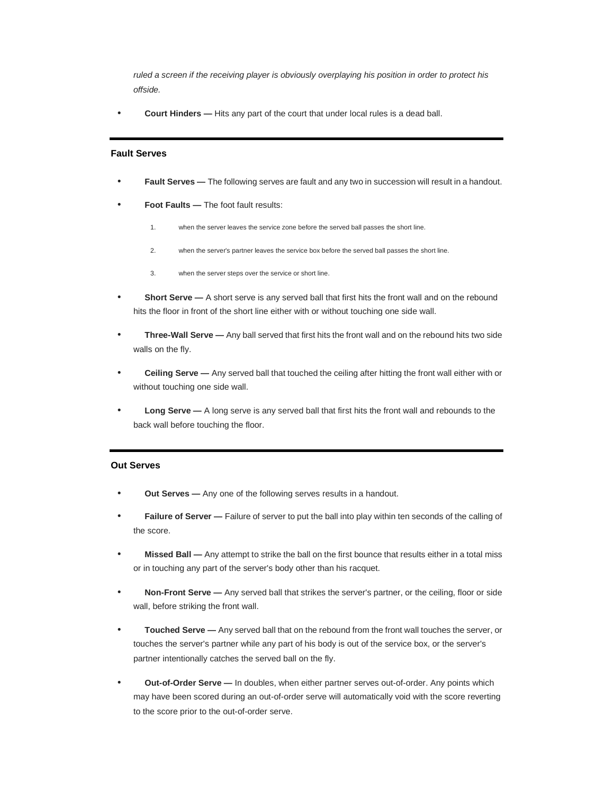ruled a screen if the receiving player is obviously overplaying his position in order to protect his offside.

• **Court Hinders —** Hits any part of the court that under local rules is a dead ball.

#### **Fault Serves**

- **Fault Serves —** The following serves are fault and any two in succession will result in a handout.
- **Foot Faults —** The foot fault results:
	- 1. when the server leaves the service zone before the served ball passes the short line.
	- 2. when the server's partner leaves the service box before the served ball passes the short line.
	- 3. when the server steps over the service or short line.
- **Short Serve —** A short serve is any served ball that first hits the front wall and on the rebound hits the floor in front of the short line either with or without touching one side wall.
- **Three-Wall Serve —** Any ball served that first hits the front wall and on the rebound hits two side walls on the fly.
- **Ceiling Serve —** Any served ball that touched the ceiling after hitting the front wall either with or without touching one side wall.
- **Long Serve —** A long serve is any served ball that first hits the front wall and rebounds to the back wall before touching the floor.

# **Out Serves**

- **Out Serves —** Any one of the following serves results in a handout.
- **Failure of Server —** Failure of server to put the ball into play within ten seconds of the calling of the score.
- **Missed Ball —** Any attempt to strike the ball on the first bounce that results either in a total miss or in touching any part of the server's body other than his racquet.
- **Non-Front Serve —** Any served ball that strikes the server's partner, or the ceiling, floor or side wall, before striking the front wall.
- **Touched Serve —** Any served ball that on the rebound from the front wall touches the server, or touches the server's partner while any part of his body is out of the service box, or the server's partner intentionally catches the served ball on the fly.
- **Out-of-Order Serve —** In doubles, when either partner serves out-of-order. Any points which may have been scored during an out-of-order serve will automatically void with the score reverting to the score prior to the out-of-order serve.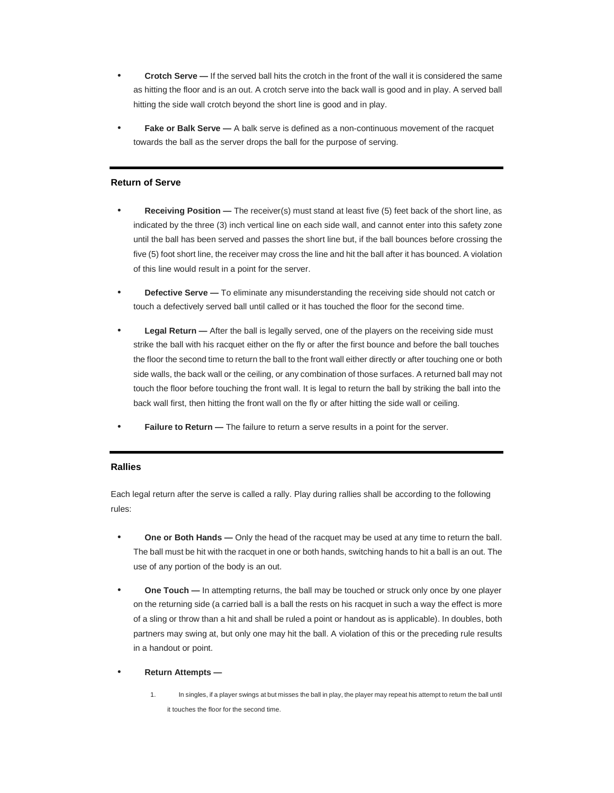- **Crotch Serve —** If the served ball hits the crotch in the front of the wall it is considered the same as hitting the floor and is an out. A crotch serve into the back wall is good and in play. A served ball hitting the side wall crotch beyond the short line is good and in play.
- **Fake or Balk Serve —** A balk serve is defined as a non-continuous movement of the racquet towards the ball as the server drops the ball for the purpose of serving.

# **Return of Serve**

- **Receiving Position —** The receiver(s) must stand at least five (5) feet back of the short line, as indicated by the three (3) inch vertical line on each side wall, and cannot enter into this safety zone until the ball has been served and passes the short line but, if the ball bounces before crossing the five (5) foot short line, the receiver may cross the line and hit the ball after it has bounced. A violation of this line would result in a point for the server.
- **Defective Serve —** To eliminate any misunderstanding the receiving side should not catch or touch a defectively served ball until called or it has touched the floor for the second time.
- **Legal Return —** After the ball is legally served, one of the players on the receiving side must strike the ball with his racquet either on the fly or after the first bounce and before the ball touches the floor the second time to return the ball to the front wall either directly or after touching one or both side walls, the back wall or the ceiling, or any combination of those surfaces. A returned ball may not touch the floor before touching the front wall. It is legal to return the ball by striking the ball into the back wall first, then hitting the front wall on the fly or after hitting the side wall or ceiling.
- **Failure to Return —** The failure to return a serve results in a point for the server.

#### **Rallies**

Each legal return after the serve is called a rally. Play during rallies shall be according to the following rules:

- **One or Both Hands —** Only the head of the racquet may be used at any time to return the ball. The ball must be hit with the racquet in one or both hands, switching hands to hit a ball is an out. The use of any portion of the body is an out.
- **One Touch —** In attempting returns, the ball may be touched or struck only once by one player on the returning side (a carried ball is a ball the rests on his racquet in such a way the effect is more of a sling or throw than a hit and shall be ruled a point or handout as is applicable). In doubles, both partners may swing at, but only one may hit the ball. A violation of this or the preceding rule results in a handout or point.

#### • **Return Attempts —**

1. In singles, if a player swings at but misses the ball in play, the player may repeat his attempt to return the ball until it touches the floor for the second time.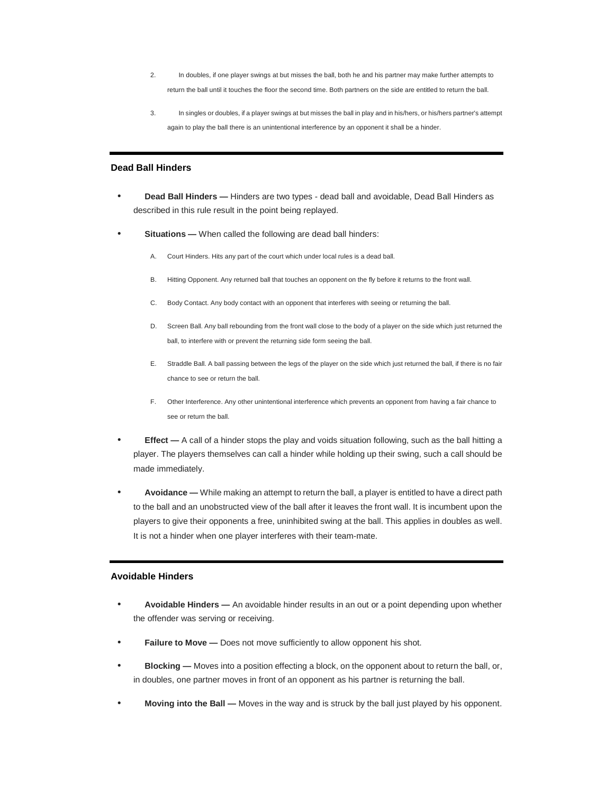- 2. In doubles, if one player swings at but misses the ball, both he and his partner may make further attempts to return the ball until it touches the floor the second time. Both partners on the side are entitled to return the ball.
- 3. In singles or doubles, if a player swings at but misses the ball in play and in his/hers, or his/hers partner's attempt again to play the ball there is an unintentional interference by an opponent it shall be a hinder.

# **Dead Ball Hinders**

- **Dead Ball Hinders —** Hinders are two types dead ball and avoidable, Dead Ball Hinders as described in this rule result in the point being replayed.
- **Situations —** When called the following are dead ball hinders:
	- A. Court Hinders. Hits any part of the court which under local rules is a dead ball.
	- B. Hitting Opponent. Any returned ball that touches an opponent on the fly before it returns to the front wall.
	- C. Body Contact. Any body contact with an opponent that interferes with seeing or returning the ball.
	- D. Screen Ball. Any ball rebounding from the front wall close to the body of a player on the side which just returned the ball, to interfere with or prevent the returning side form seeing the ball.
	- E. Straddle Ball. A ball passing between the legs of the player on the side which just returned the ball, if there is no fair chance to see or return the ball.
	- F. Other Interference. Any other unintentional interference which prevents an opponent from having a fair chance to see or return the ball.
- **Effect** A call of a hinder stops the play and voids situation following, such as the ball hitting a player. The players themselves can call a hinder while holding up their swing, such a call should be made immediately.
- **Avoidance —** While making an attempt to return the ball, a player is entitled to have a direct path to the ball and an unobstructed view of the ball after it leaves the front wall. It is incumbent upon the players to give their opponents a free, uninhibited swing at the ball. This applies in doubles as well. It is not a hinder when one player interferes with their team-mate.

#### **Avoidable Hinders**

- **Avoidable Hinders —** An avoidable hinder results in an out or a point depending upon whether the offender was serving or receiving.
- **Failure to Move —** Does not move sufficiently to allow opponent his shot.
- **Blocking —** Moves into a position effecting a block, on the opponent about to return the ball, or, in doubles, one partner moves in front of an opponent as his partner is returning the ball.
- **Moving into the Ball —** Moves in the way and is struck by the ball just played by his opponent.